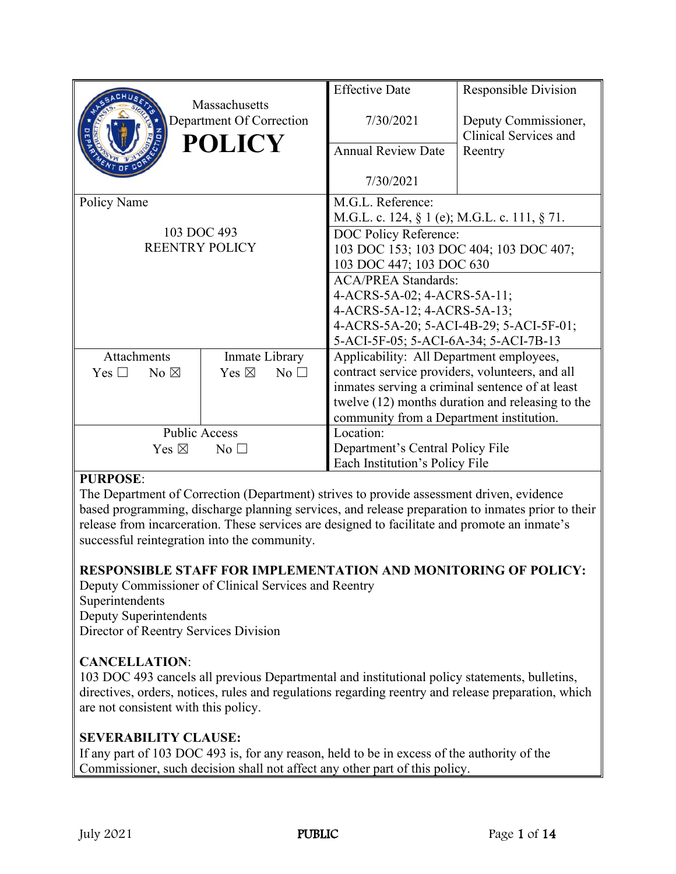|                                 |                |                                           |                 | <b>Effective Date</b>                           | <b>Responsible Division</b>                      |  |
|---------------------------------|----------------|-------------------------------------------|-----------------|-------------------------------------------------|--------------------------------------------------|--|
|                                 |                | Massachusetts<br>Department Of Correction |                 | 7/30/2021                                       | Deputy Commissioner,<br>Clinical Services and    |  |
|                                 |                | <b>POLICY</b>                             |                 | <b>Annual Review Date</b>                       | Reentry                                          |  |
|                                 |                |                                           |                 | 7/30/2021                                       |                                                  |  |
| Policy Name                     |                |                                           |                 | M.G.L. Reference:                               |                                                  |  |
|                                 |                |                                           |                 | M.G.L. c. 124, § 1 (e); M.G.L. c. 111, § 71.    |                                                  |  |
| 103 DOC 493                     |                |                                           |                 | DOC Policy Reference:                           |                                                  |  |
| <b>REENTRY POLICY</b>           |                |                                           |                 | 103 DOC 153; 103 DOC 404; 103 DOC 407;          |                                                  |  |
|                                 |                |                                           |                 | 103 DOC 447; 103 DOC 630                        |                                                  |  |
|                                 |                |                                           |                 | <b>ACA/PREA Standards:</b>                      |                                                  |  |
|                                 |                |                                           |                 | 4-ACRS-5A-02; 4-ACRS-5A-11;                     |                                                  |  |
|                                 |                |                                           |                 | 4-ACRS-5A-12; 4-ACRS-5A-13;                     |                                                  |  |
|                                 |                |                                           |                 | 4-ACRS-5A-20; 5-ACI-4B-29; 5-ACI-5F-01;         |                                                  |  |
|                                 |                |                                           |                 | 5-ACI-5F-05; 5-ACI-6A-34; 5-ACI-7B-13           |                                                  |  |
| Attachments                     |                | Inmate Library                            |                 | Applicability: All Department employees,        |                                                  |  |
| Yes $\square$                   | No $\boxtimes$ | Yes $\boxtimes$                           | No <sub>1</sub> | contract service providers, volunteers, and all |                                                  |  |
|                                 |                |                                           |                 |                                                 | inmates serving a criminal sentence of at least  |  |
|                                 |                |                                           |                 |                                                 | twelve (12) months duration and releasing to the |  |
|                                 |                |                                           |                 | community from a Department institution.        |                                                  |  |
| <b>Public Access</b>            |                |                                           |                 | Location:                                       |                                                  |  |
| Yes $\boxtimes$<br>No $\square$ |                |                                           |                 | Department's Central Policy File                |                                                  |  |
|                                 |                |                                           |                 | Each Institution's Policy File                  |                                                  |  |

## **PURPOSE**:

The Department of Correction (Department) strives to provide assessment driven, evidence based programming, discharge planning services, and release preparation to inmates prior to their release from incarceration. These services are designed to facilitate and promote an inmate's successful reintegration into the community.

## **RESPONSIBLE STAFF FOR IMPLEMENTATION AND MONITORING OF POLICY:**

Deputy Commissioner of Clinical Services and Reentry Superintendents Deputy Superintendents

Director of Reentry Services Division

## **CANCELLATION**:

103 DOC 493 cancels all previous Departmental and institutional policy statements, bulletins, directives, orders, notices, rules and regulations regarding reentry and release preparation, which are not consistent with this policy.

## **SEVERABILITY CLAUSE:**

If any part of 103 DOC 493 is, for any reason, held to be in excess of the authority of the Commissioner, such decision shall not affect any other part of this policy.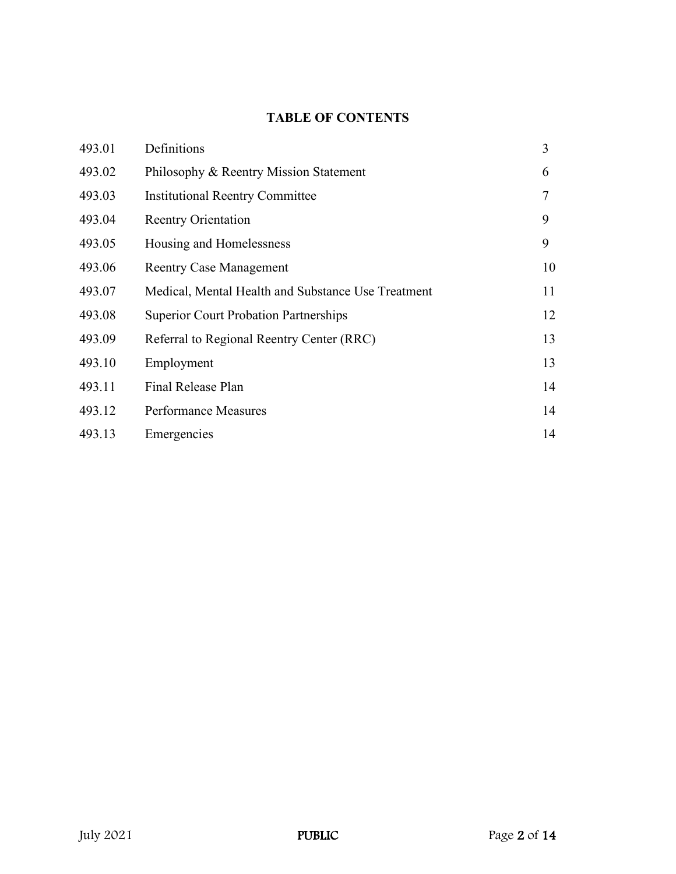# **TABLE OF CONTENTS**

| 493.01 | Definitions                                        | 3  |
|--------|----------------------------------------------------|----|
| 493.02 | Philosophy & Reentry Mission Statement             | 6  |
| 493.03 | <b>Institutional Reentry Committee</b>             | 7  |
| 493.04 | <b>Reentry Orientation</b>                         | 9  |
| 493.05 | Housing and Homelessness                           | 9  |
| 493.06 | <b>Reentry Case Management</b>                     | 10 |
| 493.07 | Medical, Mental Health and Substance Use Treatment | 11 |
| 493.08 | <b>Superior Court Probation Partnerships</b>       | 12 |
| 493.09 | Referral to Regional Reentry Center (RRC)          | 13 |
| 493.10 | Employment                                         | 13 |
| 493.11 | Final Release Plan                                 | 14 |
| 493.12 | <b>Performance Measures</b>                        | 14 |
| 493.13 | Emergencies                                        | 14 |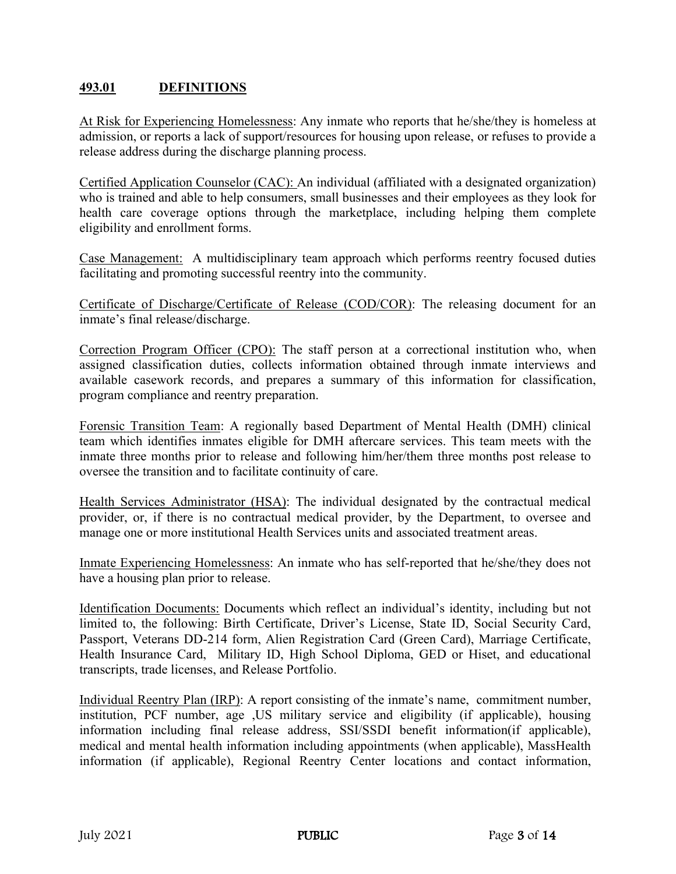## **493.01 DEFINITIONS**

At Risk for Experiencing Homelessness: Any inmate who reports that he/she/they is homeless at admission, or reports a lack of support/resources for housing upon release, or refuses to provide a release address during the discharge planning process.

Certified Application Counselor (CAC): An individual (affiliated with a designated organization) who is trained and able to help consumers, small businesses and their employees as they look for health care coverage options through the marketplace, including helping them complete eligibility and enrollment forms.

Case Management: A multidisciplinary team approach which performs reentry focused duties facilitating and promoting successful reentry into the community.

Certificate of Discharge/Certificate of Release (COD/COR): The releasing document for an inmate's final release/discharge.

Correction Program Officer (CPO): The staff person at a correctional institution who, when assigned classification duties, collects information obtained through inmate interviews and available casework records, and prepares a summary of this information for classification, program compliance and reentry preparation.

Forensic Transition Team: A regionally based Department of Mental Health (DMH) clinical team which identifies inmates eligible for DMH aftercare services. This team meets with the inmate three months prior to release and following him/her/them three months post release to oversee the transition and to facilitate continuity of care.

Health Services Administrator (HSA): The individual designated by the contractual medical provider, or, if there is no contractual medical provider, by the Department, to oversee and manage one or more institutional Health Services units and associated treatment areas.

Inmate Experiencing Homelessness: An inmate who has self-reported that he/she/they does not have a housing plan prior to release.

Identification Documents: Documents which reflect an individual's identity, including but not limited to, the following: Birth Certificate, Driver's License, State ID, Social Security Card, Passport, Veterans DD-214 form, Alien Registration Card (Green Card), Marriage Certificate, Health Insurance Card, Military ID, High School Diploma, GED or Hiset, and educational transcripts, trade licenses, and Release Portfolio.

Individual Reentry Plan (IRP): A report consisting of the inmate's name, commitment number, institution, PCF number, age ,US military service and eligibility (if applicable), housing information including final release address, SSI/SSDI benefit information(if applicable), medical and mental health information including appointments (when applicable), MassHealth information (if applicable), Regional Reentry Center locations and contact information,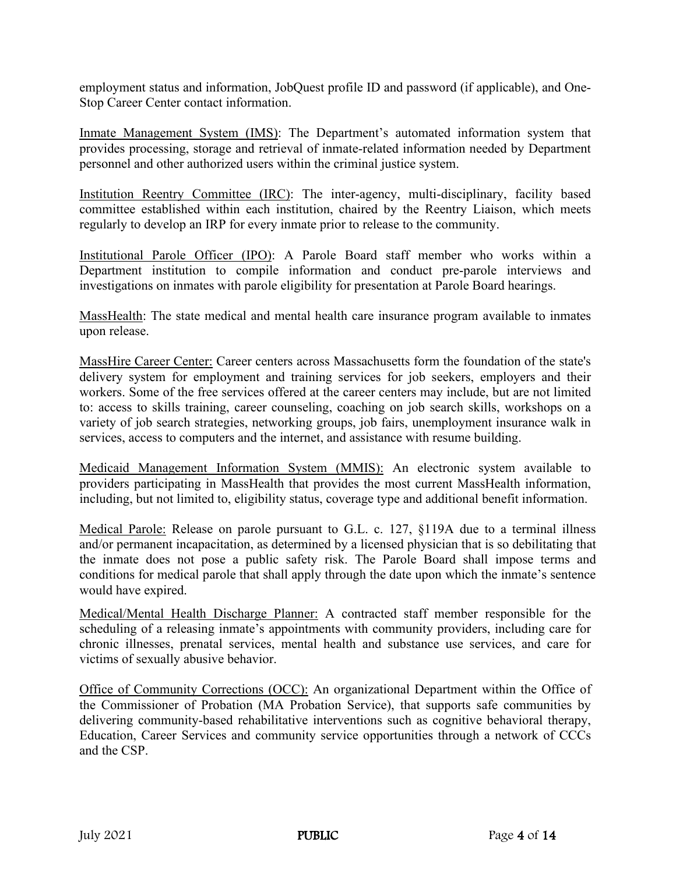employment status and information, JobQuest profile ID and password (if applicable), and One-Stop Career Center contact information.

Inmate Management System (IMS): The Department's automated information system that provides processing, storage and retrieval of inmate-related information needed by Department personnel and other authorized users within the criminal justice system.

Institution Reentry Committee (IRC): The inter-agency, multi-disciplinary, facility based committee established within each institution, chaired by the Reentry Liaison, which meets regularly to develop an IRP for every inmate prior to release to the community.

Institutional Parole Officer (IPO): A Parole Board staff member who works within a Department institution to compile information and conduct pre-parole interviews and investigations on inmates with parole eligibility for presentation at Parole Board hearings.

MassHealth: The state medical and mental health care insurance program available to inmates upon release.

MassHire Career Center: Career centers across Massachusetts form the foundation of the state's delivery system for employment and training services for job seekers, employers and their workers. Some of the free services offered at the career centers may include, but are not limited to: access to skills training, career counseling, coaching on job search skills, workshops on a variety of job search strategies, networking groups, job fairs, unemployment insurance walk in services, access to computers and the internet, and assistance with resume building.

Medicaid Management Information System (MMIS): An electronic system available to providers participating in MassHealth that provides the most current MassHealth information, including, but not limited to, eligibility status, coverage type and additional benefit information.

Medical Parole: Release on parole pursuant to G.L. c. 127, §119A due to a terminal illness and/or permanent incapacitation, as determined by a licensed physician that is so debilitating that the inmate does not pose a public safety risk. The Parole Board shall impose terms and conditions for medical parole that shall apply through the date upon which the inmate's sentence would have expired.

Medical/Mental Health Discharge Planner: A contracted staff member responsible for the scheduling of a releasing inmate's appointments with community providers, including care for chronic illnesses, prenatal services, mental health and substance use services, and care for victims of sexually abusive behavior.

Office of Community Corrections (OCC): An organizational Department within the Office of the Commissioner of Probation (MA Probation Service), that supports safe communities by delivering community-based rehabilitative interventions such as cognitive behavioral therapy, Education, Career Services and community service opportunities through a network of CCCs and the CSP.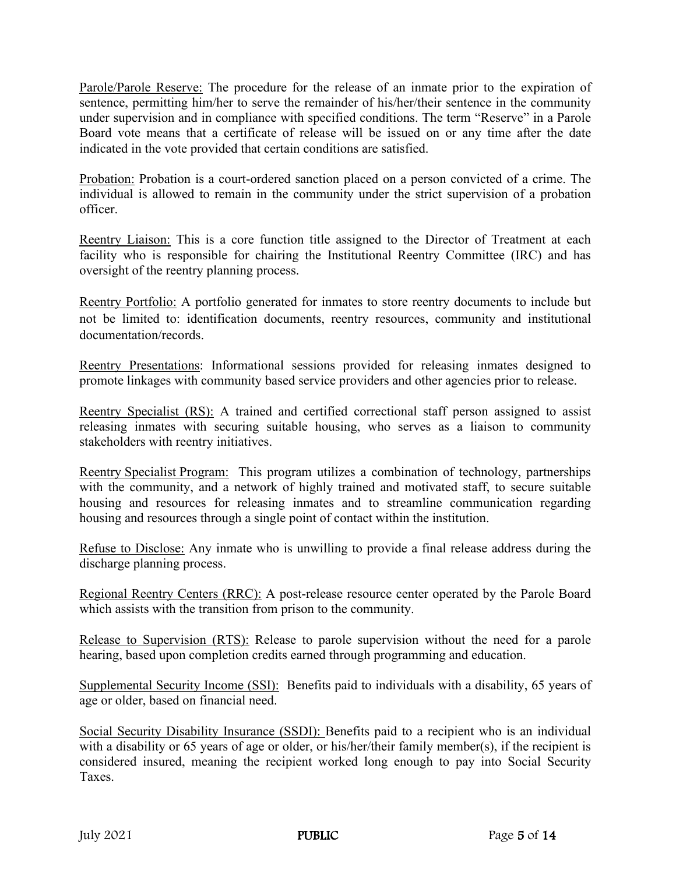Parole/Parole Reserve: The procedure for the release of an inmate prior to the expiration of sentence, permitting him/her to serve the remainder of his/her/their sentence in the community under supervision and in compliance with specified conditions. The term "Reserve" in a Parole Board vote means that a certificate of release will be issued on or any time after the date indicated in the vote provided that certain conditions are satisfied.

Probation: Probation is a court-ordered sanction placed on a person convicted of a crime. The individual is allowed to remain in the community under the strict supervision of a probation officer.

Reentry Liaison: This is a core function title assigned to the Director of Treatment at each facility who is responsible for chairing the Institutional Reentry Committee (IRC) and has oversight of the reentry planning process.

Reentry Portfolio: A portfolio generated for inmates to store reentry documents to include but not be limited to: identification documents, reentry resources, community and institutional documentation/records.

Reentry Presentations: Informational sessions provided for releasing inmates designed to promote linkages with community based service providers and other agencies prior to release.

Reentry Specialist (RS): A trained and certified correctional staff person assigned to assist releasing inmates with securing suitable housing, who serves as a liaison to community stakeholders with reentry initiatives.

Reentry Specialist Program: This program utilizes a combination of technology, partnerships with the community, and a network of highly trained and motivated staff, to secure suitable housing and resources for releasing inmates and to streamline communication regarding housing and resources through a single point of contact within the institution.

Refuse to Disclose: Any inmate who is unwilling to provide a final release address during the discharge planning process.

Regional Reentry Centers (RRC): A post-release resource center operated by the Parole Board which assists with the transition from prison to the community.

Release to Supervision (RTS): Release to parole supervision without the need for a parole hearing, based upon completion credits earned through programming and education.

Supplemental Security Income (SSI): Benefits paid to individuals with a disability, 65 years of age or older, based on financial need.

Social Security Disability Insurance (SSDI): Benefits paid to a recipient who is an individual with a disability or 65 years of age or older, or his/her/their family member(s), if the recipient is considered insured, meaning the recipient worked long enough to pay into Social Security Taxes.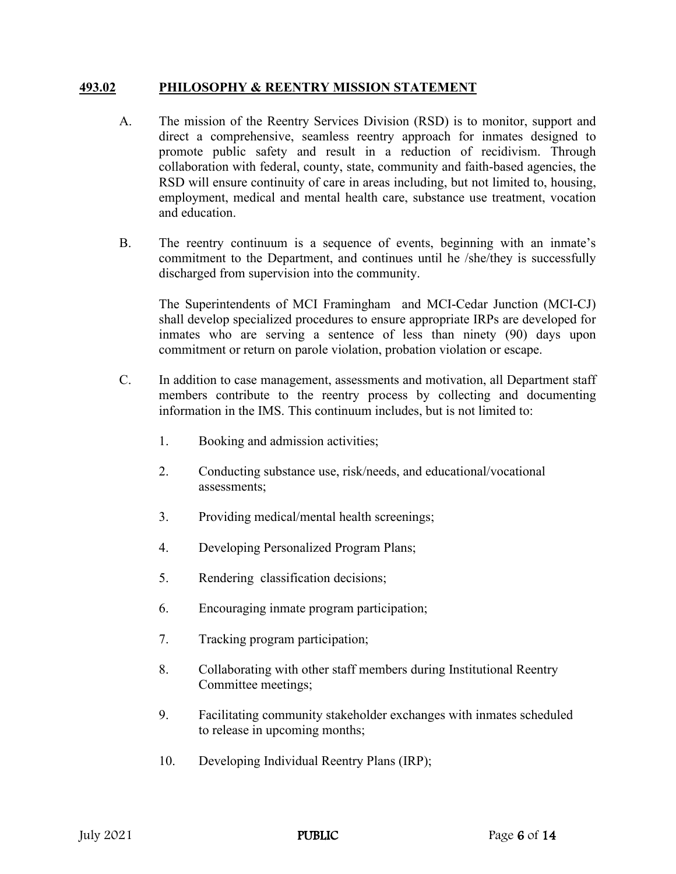#### **493.02 PHILOSOPHY & REENTRY MISSION STATEMENT**

- A. The mission of the Reentry Services Division (RSD) is to monitor, support and direct a comprehensive, seamless reentry approach for inmates designed to promote public safety and result in a reduction of recidivism. Through collaboration with federal, county, state, community and faith-based agencies, the RSD will ensure continuity of care in areas including, but not limited to, housing, employment, medical and mental health care, substance use treatment, vocation and education.
- B. The reentry continuum is a sequence of events, beginning with an inmate's commitment to the Department, and continues until he /she/they is successfully discharged from supervision into the community.

The Superintendents of MCI Framingham and MCI-Cedar Junction (MCI-CJ) shall develop specialized procedures to ensure appropriate IRPs are developed for inmates who are serving a sentence of less than ninety (90) days upon commitment or return on parole violation, probation violation or escape.

- C. In addition to case management, assessments and motivation, all Department staff members contribute to the reentry process by collecting and documenting information in the IMS. This continuum includes, but is not limited to:
	- 1. Booking and admission activities;
	- 2. Conducting substance use, risk/needs, and educational/vocational assessments;
	- 3. Providing medical/mental health screenings;
	- 4. Developing Personalized Program Plans;
	- 5. Rendering classification decisions;
	- 6. Encouraging inmate program participation;
	- 7. Tracking program participation;
	- 8. Collaborating with other staff members during Institutional Reentry Committee meetings;
	- 9. Facilitating community stakeholder exchanges with inmates scheduled to release in upcoming months;
	- 10. Developing Individual Reentry Plans (IRP);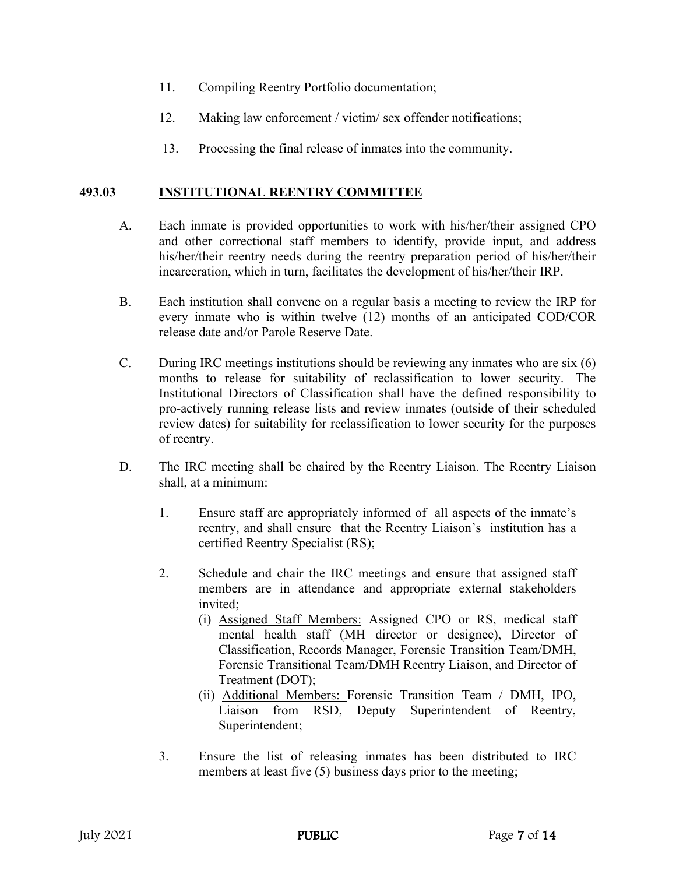- 11. Compiling Reentry Portfolio documentation;
- 12. Making law enforcement / victim/ sex offender notifications;
- 13. Processing the final release of inmates into the community.

#### **493.03 INSTITUTIONAL REENTRY COMMITTEE**

- A. Each inmate is provided opportunities to work with his/her/their assigned CPO and other correctional staff members to identify, provide input, and address his/her/their reentry needs during the reentry preparation period of his/her/their incarceration, which in turn, facilitates the development of his/her/their IRP.
- B. Each institution shall convene on a regular basis a meeting to review the IRP for every inmate who is within twelve (12) months of an anticipated COD/COR release date and/or Parole Reserve Date.
- C. During IRC meetings institutions should be reviewing any inmates who are six (6) months to release for suitability of reclassification to lower security. The Institutional Directors of Classification shall have the defined responsibility to pro-actively running release lists and review inmates (outside of their scheduled review dates) for suitability for reclassification to lower security for the purposes of reentry.
- D. The IRC meeting shall be chaired by the Reentry Liaison. The Reentry Liaison shall, at a minimum:
	- 1. Ensure staff are appropriately informed of all aspects of the inmate's reentry, and shall ensure that the Reentry Liaison's institution has a certified Reentry Specialist (RS);
	- 2. Schedule and chair the IRC meetings and ensure that assigned staff members are in attendance and appropriate external stakeholders invited;
		- (i) Assigned Staff Members: Assigned CPO or RS, medical staff mental health staff (MH director or designee), Director of Classification, Records Manager, Forensic Transition Team/DMH, Forensic Transitional Team/DMH Reentry Liaison, and Director of Treatment (DOT);
		- (ii) Additional Members: Forensic Transition Team / DMH, IPO, Liaison from RSD, Deputy Superintendent of Reentry, Superintendent;
	- 3. Ensure the list of releasing inmates has been distributed to IRC members at least five (5) business days prior to the meeting;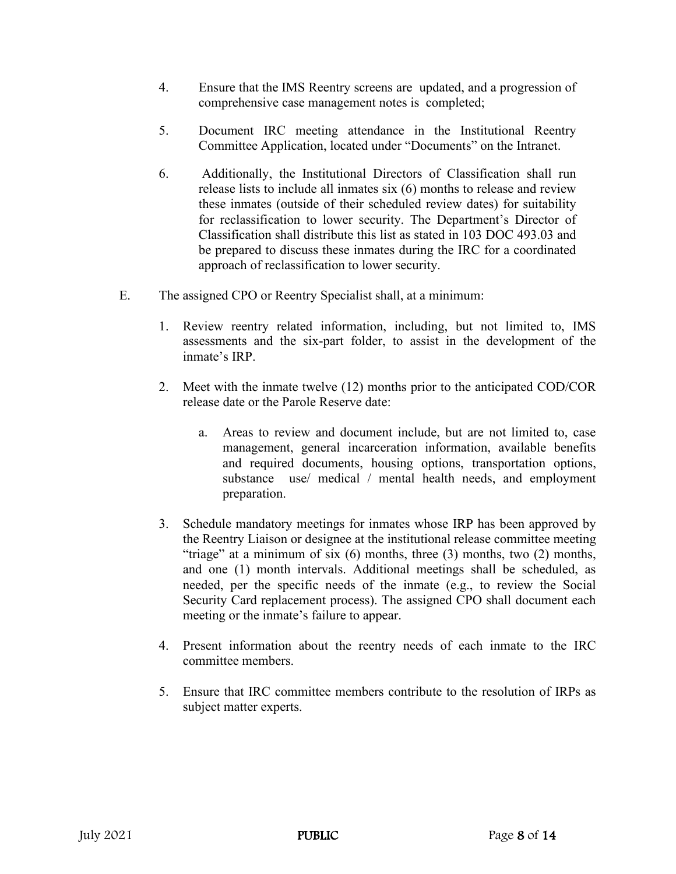- 4. Ensure that the IMS Reentry screens are updated, and a progression of comprehensive case management notes is completed;
- 5. Document IRC meeting attendance in the Institutional Reentry Committee Application, located under "Documents" on the Intranet.
- 6. Additionally, the Institutional Directors of Classification shall run release lists to include all inmates six (6) months to release and review these inmates (outside of their scheduled review dates) for suitability for reclassification to lower security. The Department's Director of Classification shall distribute this list as stated in 103 DOC 493.03 and be prepared to discuss these inmates during the IRC for a coordinated approach of reclassification to lower security.
- E. The assigned CPO or Reentry Specialist shall, at a minimum:
	- 1. Review reentry related information, including, but not limited to, IMS assessments and the six-part folder, to assist in the development of the inmate's IRP.
	- 2. Meet with the inmate twelve (12) months prior to the anticipated COD/COR release date or the Parole Reserve date:
		- a. Areas to review and document include, but are not limited to, case management, general incarceration information, available benefits and required documents, housing options, transportation options, substance use/ medical / mental health needs, and employment preparation.
	- 3. Schedule mandatory meetings for inmates whose IRP has been approved by the Reentry Liaison or designee at the institutional release committee meeting "triage" at a minimum of six (6) months, three (3) months, two (2) months, and one (1) month intervals. Additional meetings shall be scheduled, as needed, per the specific needs of the inmate (e.g., to review the Social Security Card replacement process). The assigned CPO shall document each meeting or the inmate's failure to appear.
	- 4. Present information about the reentry needs of each inmate to the IRC committee members.
	- 5. Ensure that IRC committee members contribute to the resolution of IRPs as subject matter experts.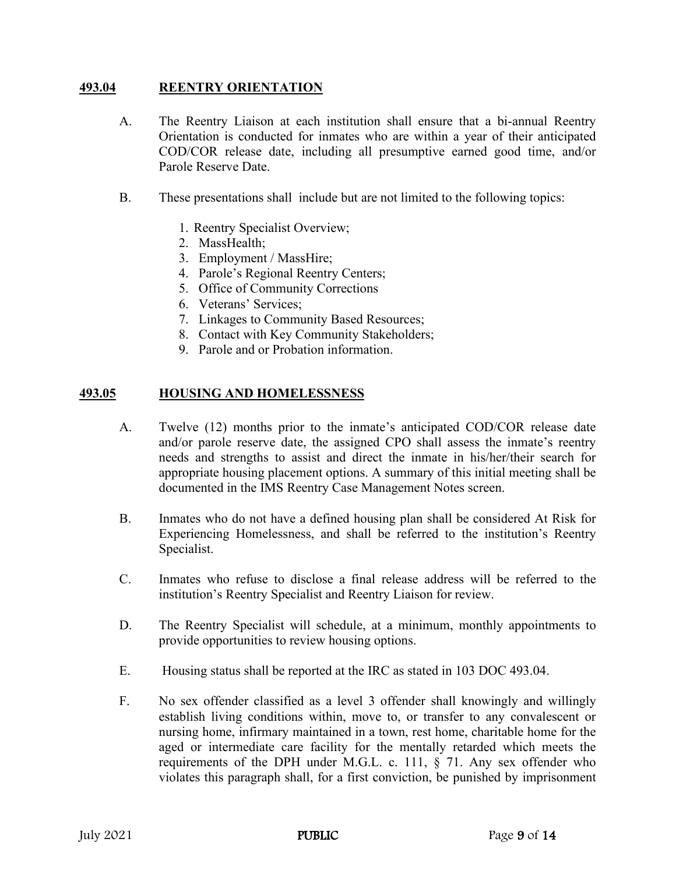### **493.04 REENTRY ORIENTATION**

- A. The Reentry Liaison at each institution shall ensure that a bi-annual Reentry Orientation is conducted for inmates who are within a year of their anticipated COD/COR release date, including all presumptive earned good time, and/or Parole Reserve Date.
- B. These presentations shall include but are not limited to the following topics:
	- 1. Reentry Specialist Overview;
	- 2. MassHealth;
	- 3. Employment / MassHire;
	- 4. Parole's Regional Reentry Centers;
	- 5. Office of Community Corrections
	- 6. Veterans' Services;
	- 7. Linkages to Community Based Resources;
	- 8. Contact with Key Community Stakeholders;
	- 9. Parole and or Probation information.

#### **493.05 HOUSING AND HOMELESSNESS**

- A. Twelve (12) months prior to the inmate's anticipated COD/COR release date and/or parole reserve date, the assigned CPO shall assess the inmate's reentry needs and strengths to assist and direct the inmate in his/her/their search for appropriate housing placement options. A summary of this initial meeting shall be documented in the IMS Reentry Case Management Notes screen.
- B. Inmates who do not have a defined housing plan shall be considered At Risk for Experiencing Homelessness, and shall be referred to the institution's Reentry Specialist.
- C. Inmates who refuse to disclose a final release address will be referred to the institution's Reentry Specialist and Reentry Liaison for review.
- D. The Reentry Specialist will schedule, at a minimum, monthly appointments to provide opportunities to review housing options.
- E. Housing status shall be reported at the IRC as stated in 103 DOC 493.04.
- F. No sex offender classified as a level 3 offender shall knowingly and willingly establish living conditions within, move to, or transfer to any convalescent or nursing home, infirmary maintained in a town, rest home, charitable home for the aged or intermediate care facility for the mentally retarded which meets the requirements of the DPH under M.G.L. c. 111, § 71. Any sex offender who violates this paragraph shall, for a first conviction, be punished by imprisonment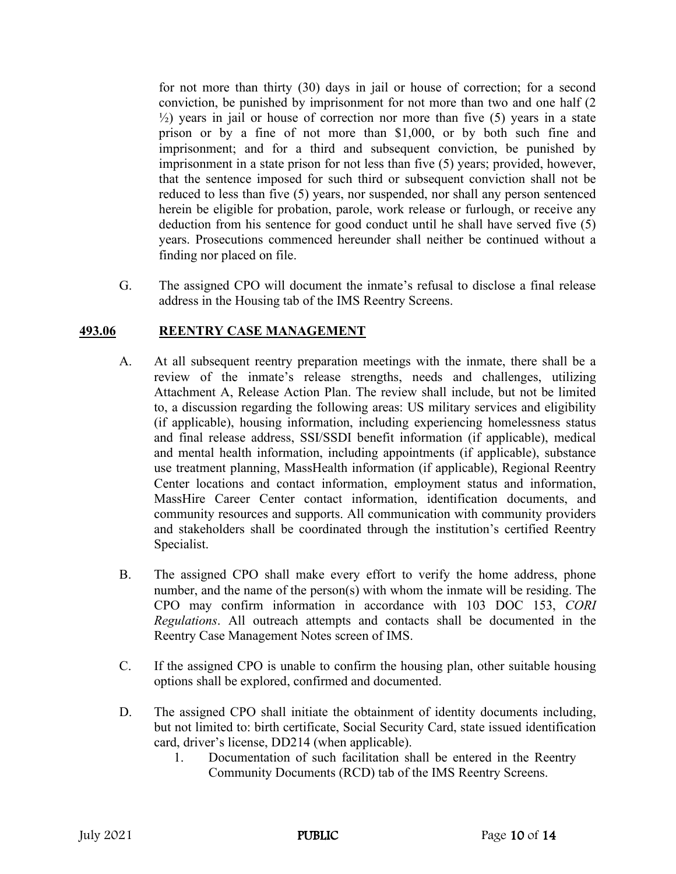for not more than thirty (30) days in jail or house of correction; for a second conviction, be punished by imprisonment for not more than two and one half (2  $\frac{1}{2}$ ) years in jail or house of correction nor more than five (5) years in a state prison or by a fine of not more than \$1,000, or by both such fine and imprisonment; and for a third and subsequent conviction, be punished by imprisonment in a state prison for not less than five (5) years; provided, however, that the sentence imposed for such third or subsequent conviction shall not be reduced to less than five (5) years, nor suspended, nor shall any person sentenced herein be eligible for probation, parole, work release or furlough, or receive any deduction from his sentence for good conduct until he shall have served five (5) years. Prosecutions commenced hereunder shall neither be continued without a finding nor placed on file.

G. The assigned CPO will document the inmate's refusal to disclose a final release address in the Housing tab of the IMS Reentry Screens.

## **493.06 REENTRY CASE MANAGEMENT**

- A. At all subsequent reentry preparation meetings with the inmate, there shall be a review of the inmate's release strengths, needs and challenges, utilizing Attachment A, Release Action Plan. The review shall include, but not be limited to, a discussion regarding the following areas: US military services and eligibility (if applicable), housing information, including experiencing homelessness status and final release address, SSI/SSDI benefit information (if applicable), medical and mental health information, including appointments (if applicable), substance use treatment planning, MassHealth information (if applicable), Regional Reentry Center locations and contact information, employment status and information, MassHire Career Center contact information, identification documents, and community resources and supports. All communication with community providers and stakeholders shall be coordinated through the institution's certified Reentry Specialist.
- B. The assigned CPO shall make every effort to verify the home address, phone number, and the name of the person(s) with whom the inmate will be residing. The CPO may confirm information in accordance with 103 DOC 153, *CORI Regulations*. All outreach attempts and contacts shall be documented in the Reentry Case Management Notes screen of IMS.
- C. If the assigned CPO is unable to confirm the housing plan, other suitable housing options shall be explored, confirmed and documented.
- D. The assigned CPO shall initiate the obtainment of identity documents including, but not limited to: birth certificate, Social Security Card, state issued identification card, driver's license, DD214 (when applicable).
	- 1. Documentation of such facilitation shall be entered in the Reentry Community Documents (RCD) tab of the IMS Reentry Screens.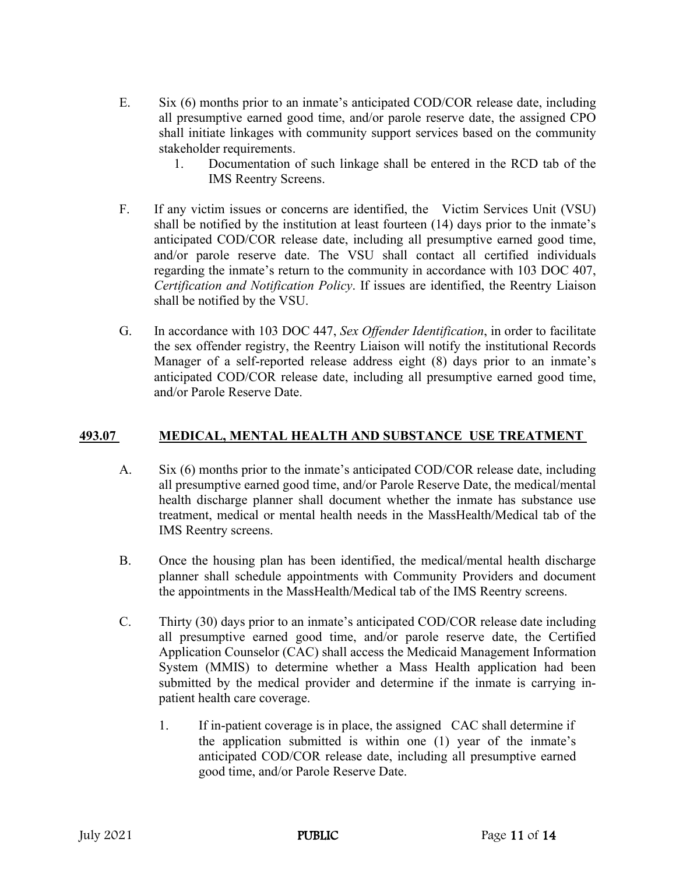- E. Six (6) months prior to an inmate's anticipated COD/COR release date, including all presumptive earned good time, and/or parole reserve date, the assigned CPO shall initiate linkages with community support services based on the community stakeholder requirements.
	- 1. Documentation of such linkage shall be entered in the RCD tab of the IMS Reentry Screens.
- F. If any victim issues or concerns are identified, the Victim Services Unit (VSU) shall be notified by the institution at least fourteen (14) days prior to the inmate's anticipated COD/COR release date, including all presumptive earned good time, and/or parole reserve date. The VSU shall contact all certified individuals regarding the inmate's return to the community in accordance with 103 DOC 407, *Certification and Notification Policy*. If issues are identified, the Reentry Liaison shall be notified by the VSU.
- G. In accordance with 103 DOC 447, *Sex Offender Identification*, in order to facilitate the sex offender registry, the Reentry Liaison will notify the institutional Records Manager of a self-reported release address eight (8) days prior to an inmate's anticipated COD/COR release date, including all presumptive earned good time, and/or Parole Reserve Date.

## **493.07 MEDICAL, MENTAL HEALTH AND SUBSTANCE USE TREATMENT**

- A. Six (6) months prior to the inmate's anticipated COD/COR release date, including all presumptive earned good time, and/or Parole Reserve Date, the medical/mental health discharge planner shall document whether the inmate has substance use treatment, medical or mental health needs in the MassHealth/Medical tab of the IMS Reentry screens.
- B. Once the housing plan has been identified, the medical/mental health discharge planner shall schedule appointments with Community Providers and document the appointments in the MassHealth/Medical tab of the IMS Reentry screens.
- C. Thirty (30) days prior to an inmate's anticipated COD/COR release date including all presumptive earned good time, and/or parole reserve date, the Certified Application Counselor (CAC) shall access the Medicaid Management Information System (MMIS) to determine whether a Mass Health application had been submitted by the medical provider and determine if the inmate is carrying inpatient health care coverage.
	- 1. If in-patient coverage is in place, the assigned CAC shall determine if the application submitted is within one (1) year of the inmate's anticipated COD/COR release date, including all presumptive earned good time, and/or Parole Reserve Date.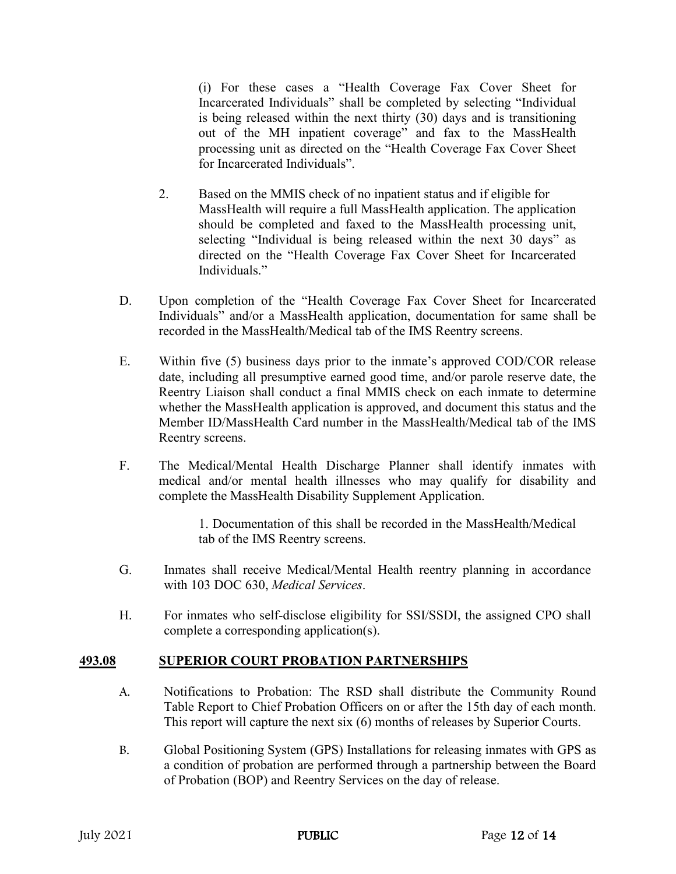(i) For these cases a "Health Coverage Fax Cover Sheet for Incarcerated Individuals" shall be completed by selecting "Individual is being released within the next thirty (30) days and is transitioning out of the MH inpatient coverage" and fax to the MassHealth processing unit as directed on the "Health Coverage Fax Cover Sheet for Incarcerated Individuals".

- 2. Based on the MMIS check of no inpatient status and if eligible for MassHealth will require a full MassHealth application. The application should be completed and faxed to the MassHealth processing unit, selecting "Individual is being released within the next 30 days" as directed on the "Health Coverage Fax Cover Sheet for Incarcerated Individuals."
- D. Upon completion of the "Health Coverage Fax Cover Sheet for Incarcerated Individuals" and/or a MassHealth application, documentation for same shall be recorded in the MassHealth/Medical tab of the IMS Reentry screens.
- E. Within five (5) business days prior to the inmate's approved COD/COR release date, including all presumptive earned good time, and/or parole reserve date, the Reentry Liaison shall conduct a final MMIS check on each inmate to determine whether the MassHealth application is approved, and document this status and the Member ID/MassHealth Card number in the MassHealth/Medical tab of the IMS Reentry screens.
- F. The Medical/Mental Health Discharge Planner shall identify inmates with medical and/or mental health illnesses who may qualify for disability and complete the MassHealth Disability Supplement Application.

1. Documentation of this shall be recorded in the MassHealth/Medical tab of the IMS Reentry screens.

- G. Inmates shall receive Medical/Mental Health reentry planning in accordance with 103 DOC 630, *Medical Services*.
- H. For inmates who self-disclose eligibility for SSI/SSDI, the assigned CPO shall complete a corresponding application(s).

## **493.08 SUPERIOR COURT PROBATION PARTNERSHIPS**

- A. Notifications to Probation: The RSD shall distribute the Community Round Table Report to Chief Probation Officers on or after the 15th day of each month. This report will capture the next six (6) months of releases by Superior Courts.
- B. Global Positioning System (GPS) Installations for releasing inmates with GPS as a condition of probation are performed through a partnership between the Board of Probation (BOP) and Reentry Services on the day of release.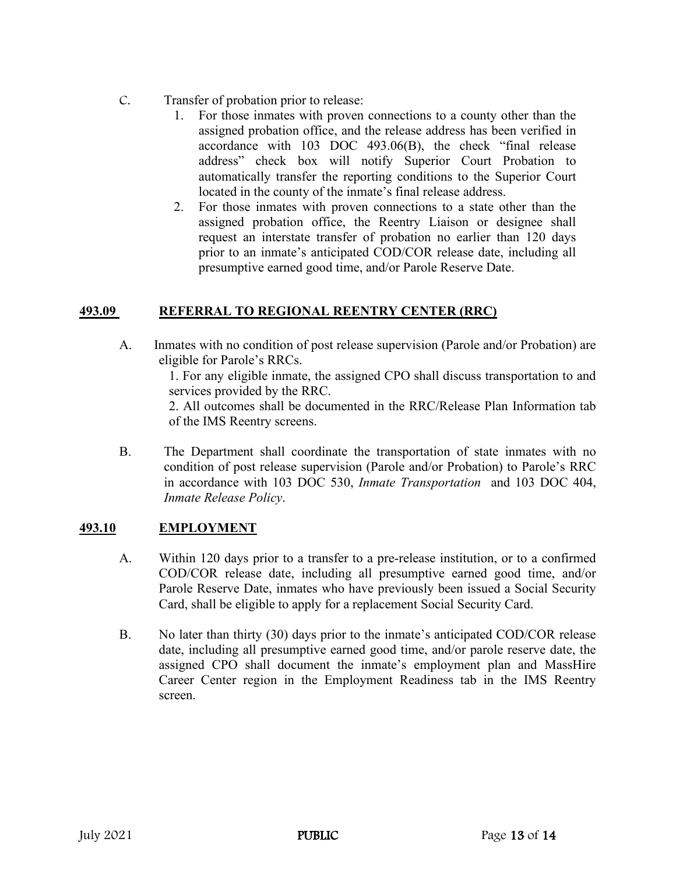- C. Transfer of probation prior to release:
	- 1. For those inmates with proven connections to a county other than the assigned probation office, and the release address has been verified in accordance with 103 DOC 493.06(B), the check "final release address" check box will notify Superior Court Probation to automatically transfer the reporting conditions to the Superior Court located in the county of the inmate's final release address.
	- 2. For those inmates with proven connections to a state other than the assigned probation office, the Reentry Liaison or designee shall request an interstate transfer of probation no earlier than 120 days prior to an inmate's anticipated COD/COR release date, including all presumptive earned good time, and/or Parole Reserve Date.

## **493.09 REFERRAL TO REGIONAL REENTRY CENTER (RRC)**

A. Inmates with no condition of post release supervision (Parole and/or Probation) are eligible for Parole's RRCs.

1. For any eligible inmate, the assigned CPO shall discuss transportation to and services provided by the RRC.

2. All outcomes shall be documented in the RRC/Release Plan Information tab of the IMS Reentry screens.

B. The Department shall coordinate the transportation of state inmates with no condition of post release supervision (Parole and/or Probation) to Parole's RRC in accordance with 103 DOC 530, *Inmate Transportation* and 103 DOC 404, *Inmate Release Policy*.

## **493.10 EMPLOYMENT**

- A. Within 120 days prior to a transfer to a pre-release institution, or to a confirmed COD/COR release date, including all presumptive earned good time, and/or Parole Reserve Date, inmates who have previously been issued a Social Security Card, shall be eligible to apply for a replacement Social Security Card.
- B. No later than thirty (30) days prior to the inmate's anticipated COD/COR release date, including all presumptive earned good time, and/or parole reserve date, the assigned CPO shall document the inmate's employment plan and MassHire Career Center region in the Employment Readiness tab in the IMS Reentry screen.